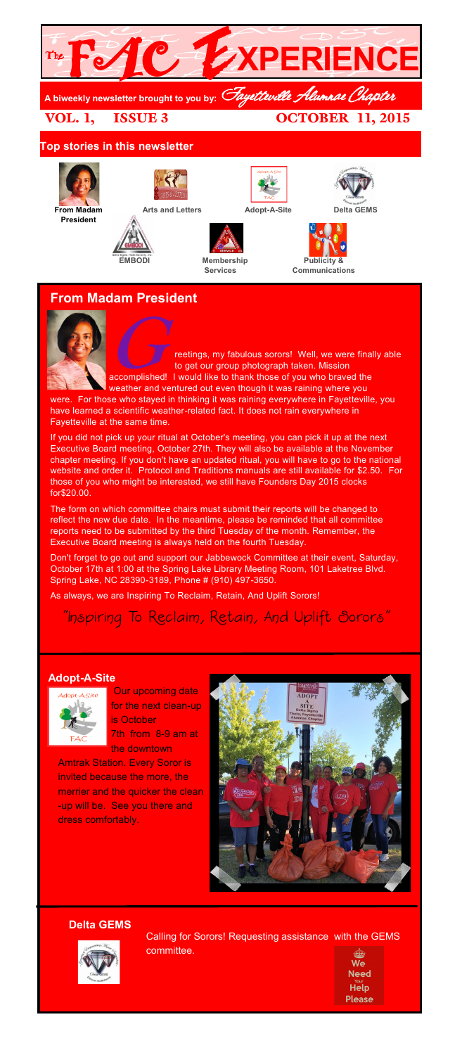

## **From Madam President**



reetings, my fabulous sorors! Well, we were finally able to get our group photograph taken. Mission accomplished! I would like to thank those of you who braved the

weather and ventured out even though it was raining where you were. For those who stayed in thinking it was raining everywhere in Fayetteville, you have learned a scientific weather-related fact. It does not rain everywhere in Fayetteville at the same time.

If you did not pick up your ritual at October's meeting, you can pick it up at the next Executive Board meeting, October 27th. They will also be available at the November chapter meeting. If you don't have an updated ritual, you will have to go to the national website and order it. Protocol and Traditions manuals are still available for \$2.50. For those of you who might be interested, we still have Founders Day 2015 clocks for\$20.00.

The form on which committee chairs must submit their reports will be changed to reflect the new due date. In the meantime, please be reminded that all committee reports need to be submitted by the third Tuesday of the month. Remember, the Executive Board meeting is always held on the fourth Tuesday.

Don't forget to go out and support our Jabbewock Committee at their event, Saturday, October 17th at 1:00 at the Spring Lake Library Meeting Room, 101 Laketree Blvd. Spring Lake, NC 28390-3189, Phone # (910) 497-3650.

As always, we are Inspiring To Reclaim, Retain, And Uplift Sorors!

"Inspiring To Reclaim, Retain, And Uplift Sorors"

## **Adopt-A-Site**



Our upcoming date for the next clean-up is October 7th from 8-9 am at the downtown

**Amtrak Station. Every Soror is** invited because the more, the merrier and the quicker the clean -up will be. See you there and dress comfortably.



**Delta GEMS**



Calling for Sorors! Requesting assistance with the GEMS committee.

**Need Help Please**